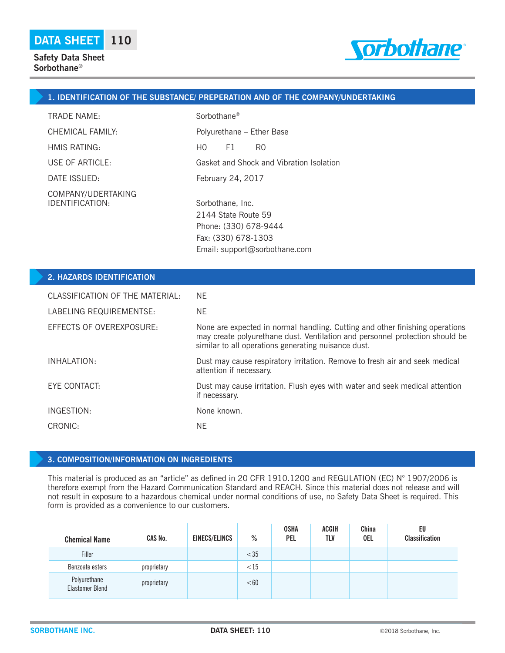

## **1. IDENTIFICATION OF THE SUBSTANCE/ PREPERATION AND OF THE COMPANY/UNDERTAKING**

| <b>TRADE NAME:</b>                    | Sorbothane <sup>®</sup>                                                                 |  |  |
|---------------------------------------|-----------------------------------------------------------------------------------------|--|--|
| CHEMICAL FAMILY:                      | Polyurethane - Ether Base                                                               |  |  |
| HMIS RATING:                          | F1<br>HO.<br>R0                                                                         |  |  |
| USE OF ARTICLE:                       | Gasket and Shock and Vibration Isolation                                                |  |  |
| DATE ISSUED:                          | February 24, 2017                                                                       |  |  |
| COMPANY/UDERTAKING<br>IDENTIFICATION: | Sorbothane, Inc.<br>2144 State Route 59<br>Phone: (330) 678-9444<br>Fax: (330) 678-1303 |  |  |

| <b>2. HAZARDS IDENTIFICATION</b> |                                                                                                                                                                                                                     |
|----------------------------------|---------------------------------------------------------------------------------------------------------------------------------------------------------------------------------------------------------------------|
| CLASSIFICATION OF THE MATERIAL:  | NF.                                                                                                                                                                                                                 |
| LABELING REQUIREMENTSE:          | <b>NE</b>                                                                                                                                                                                                           |
| EFFECTS OF OVEREXPOSURE:         | None are expected in normal handling. Cutting and other finishing operations<br>may create polyurethane dust. Ventilation and personnel protection should be<br>similar to all operations generating nuisance dust. |
| INHALATION:                      | Dust may cause respiratory irritation. Remove to fresh air and seek medical<br>attention if necessary.                                                                                                              |
| EYE CONTACT:                     | Dust may cause irritation. Flush eyes with water and seek medical attention<br>if necessary.                                                                                                                        |
| INGESTION:                       | None known.                                                                                                                                                                                                         |
| CRONIC:                          | <b>NE</b>                                                                                                                                                                                                           |
|                                  |                                                                                                                                                                                                                     |

Email: support@sorbothane.com

#### **3. COMPOSITION/INFORMATION ON INGREDIENTS**

This material is produced as an "article" as defined in 20 CFR 1910.1200 and REGULATION (EC) N° 1907/2006 is therefore exempt from the Hazard Communication Standard and REACH. Since this material does not release and will not result in exposure to a hazardous chemical under normal conditions of use, no Safety Data Sheet is required. This form is provided as a convenience to our customers.

| <b>Chemical Name</b>            | CAS No.     | <b>EINECS/ELINCS</b> | $\%$   | <b>OSHA</b><br><b>PEL</b> | <b>ACGIH</b><br>TLV | China<br><b>OEL</b> | EU<br><b>Classification</b> |
|---------------------------------|-------------|----------------------|--------|---------------------------|---------------------|---------------------|-----------------------------|
| Filler                          |             |                      | $<$ 35 |                           |                     |                     |                             |
| Benzoate esters                 | proprietary |                      | <15    |                           |                     |                     |                             |
| Polyurethane<br>Elastomer Blend | proprietary |                      | < 60   |                           |                     |                     |                             |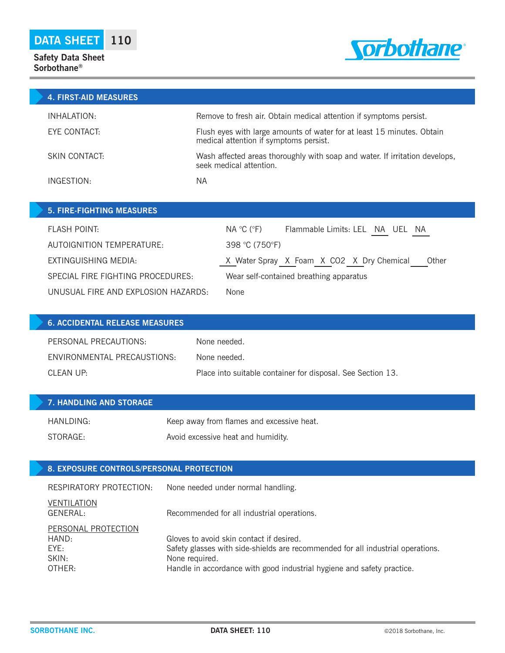## **Safety Data Sheet Sorbothane®**



| <b>4. FIRST-AID MEASURES</b> |                                                                                                                  |
|------------------------------|------------------------------------------------------------------------------------------------------------------|
| INHALATION:                  | Remove to fresh air. Obtain medical attention if symptoms persist.                                               |
| EYE CONTACT:                 | Flush eyes with large amounts of water for at least 15 minutes. Obtain<br>medical attention if symptoms persist. |
| SKIN CONTACT:                | Wash affected areas thoroughly with soap and water. If irritation develops,<br>seek medical attention.           |
| INGESTION:                   | ΝA                                                                                                               |

| <b>5. FIRE-FIGHTING MEASURES</b>    |                                                                   |
|-------------------------------------|-------------------------------------------------------------------|
| <b>FLASH POINT:</b>                 | $NA \ ^{\circ}C \ (^{\circ}F)$<br>Flammable Limits: LEL NA UEL NA |
| AUTOIGNITION TEMPERATURE:           | 398 °C (750°F)                                                    |
| EXTINGUISHING MEDIA:                | X Water Spray X Foam X CO2 X Dry Chemical<br>Other                |
| SPECIAL FIRE FIGHTING PROCEDURES:   | Wear self-contained breathing apparatus                           |
| UNUSUAL FIRE AND EXPLOSION HAZARDS: | None                                                              |

| <b>6. ACCIDENTAL RELEASE MEASURES</b> |                                                             |
|---------------------------------------|-------------------------------------------------------------|
| PERSONAL PRECAUTIONS:                 | None needed.                                                |
| ENVIRONMENTAL PRECAUSTIONS:           | None needed.                                                |
| CLEAN UP:                             | Place into suitable container for disposal. See Section 13. |

| <b>7. HANDLING AND STORAGE</b> |                                           |
|--------------------------------|-------------------------------------------|
| HANLDING:                      | Keep away from flames and excessive heat. |
| STORAGE:                       | Avoid excessive heat and humidity.        |

## **8. EXPOSURE CONTROLS/PERSONAL PROTECTION**

| RESPIRATORY PROTECTION: | None needed under normal handling.                                              |
|-------------------------|---------------------------------------------------------------------------------|
| VENTILATION<br>GENERAL: | Recommended for all industrial operations.                                      |
| PERSONAL PROTECTION     |                                                                                 |
| HAND:                   | Gloves to avoid skin contact if desired.                                        |
| FYF:                    | Safety glasses with side-shields are recommended for all industrial operations. |
| SKIN:                   | None required.                                                                  |
| OTHER:                  | Handle in accordance with good industrial hygiene and safety practice.          |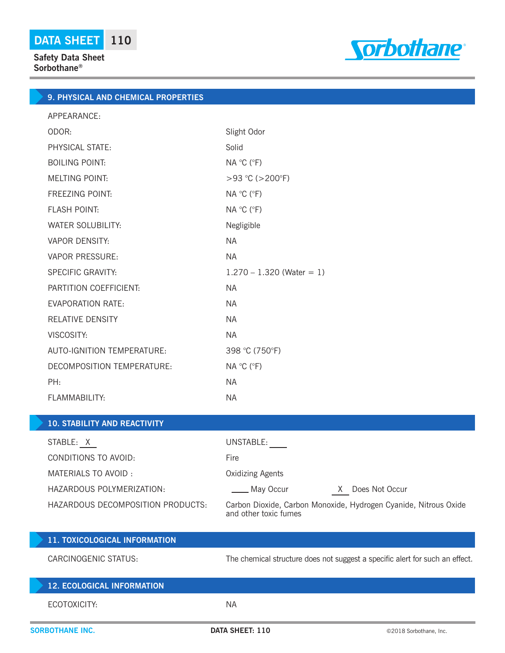

# **9. PHYSICAL AND CHEMICAL PROPERTIES**

| APPEARANCE:                       |                             |
|-----------------------------------|-----------------------------|
| ODOR:                             | Slight Odor                 |
| PHYSICAL STATE:                   | Solid                       |
| <b>BOILING POINT:</b>             | NA °C (°F)                  |
| <b>MELTING POINT:</b>             | $>93$ °C ( $>200$ °F)       |
| <b>FREEZING POINT:</b>            | NA °C (°F)                  |
| <b>FLASH POINT:</b>               | NA °C (°F)                  |
| <b>WATER SOLUBILITY:</b>          | Negligible                  |
| <b>VAPOR DENSITY:</b>             | <b>NA</b>                   |
| <b>VAPOR PRESSURE:</b>            | <b>NA</b>                   |
| <b>SPECIFIC GRAVITY:</b>          | $1.270 - 1.320$ (Water = 1) |
| PARTITION COEFFICIENT:            | NA.                         |
| <b>EVAPORATION RATE:</b>          | <b>NA</b>                   |
| <b>RELATIVE DENSITY</b>           | <b>NA</b>                   |
| VISCOSITY:                        | <b>NA</b>                   |
| <b>AUTO-IGNITION TEMPERATURE:</b> | 398 °C (750°F)              |
| DECOMPOSITION TEMPERATURE:        | NA °C (°F)                  |
| PH:                               | NA.                         |
| FLAMMABILITY:                     | <b>NA</b>                   |

## **10. STABILITY AND REACTIVITY**

| STABLE: X                         | UNSTABLE:                                                                                 |
|-----------------------------------|-------------------------------------------------------------------------------------------|
| CONDITIONS TO AVOID:              | Fire                                                                                      |
| MATERIALS TO AVOID:               | <b>Oxidizing Agents</b>                                                                   |
| HAZARDOUS POLYMERIZATION:         | May Occur<br>Does Not Occur<br>X                                                          |
| HAZARDOUS DECOMPOSITION PRODUCTS: | Carbon Dioxide, Carbon Monoxide, Hydrogen Cyanide, Nitrous Oxide<br>and other toxic fumes |

| 11. TOXICOLOGICAL INFORMATION     |                 |                                                                              |
|-----------------------------------|-----------------|------------------------------------------------------------------------------|
| CARCINOGENIC STATUS:              |                 | The chemical structure does not suggest a specific alert for such an effect. |
| <b>12. ECOLOGICAL INFORMATION</b> |                 |                                                                              |
| ECOTOXICITY:                      | ΝA              |                                                                              |
| <b>SORBOTHANE INC.</b>            | DATA SHEET: 110 | ©2018 Sorbothane, Inc.                                                       |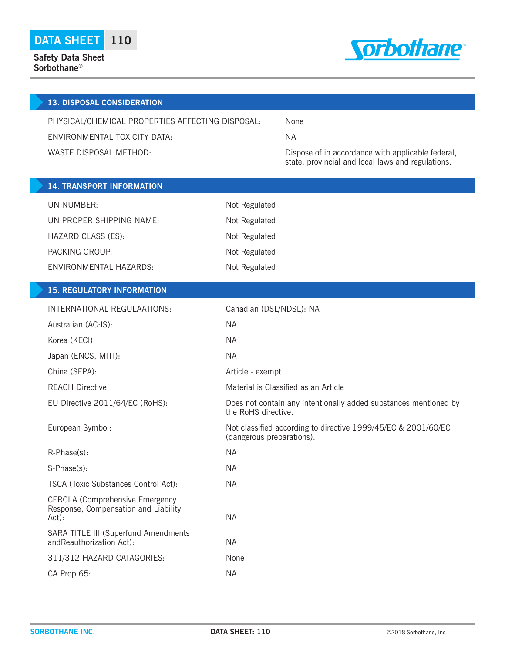

|                                                  | <b>13. DISPOSAL CONSIDERATION</b>                                                       |                           |                                                                  |
|--------------------------------------------------|-----------------------------------------------------------------------------------------|---------------------------|------------------------------------------------------------------|
| PHYSICAL/CHEMICAL PROPERTIES AFFECTING DISPOSAL: |                                                                                         | None                      |                                                                  |
| ENVIRONMENTAL TOXICITY DATA:                     |                                                                                         | <b>NA</b>                 |                                                                  |
|                                                  | WASTE DISPOSAL METHOD:                                                                  |                           | Dispose of in accordance with applicable federal,                |
|                                                  |                                                                                         |                           | state, provincial and local laws and regulations.                |
|                                                  | <b>14. TRANSPORT INFORMATION</b>                                                        |                           |                                                                  |
|                                                  | UN NUMBER:                                                                              | Not Regulated             |                                                                  |
|                                                  | UN PROPER SHIPPING NAME:                                                                | Not Regulated             |                                                                  |
|                                                  | HAZARD CLASS (ES):                                                                      | Not Regulated             |                                                                  |
|                                                  | PACKING GROUP:                                                                          | Not Regulated             |                                                                  |
|                                                  | <b>ENVIRONMENTAL HAZARDS:</b>                                                           | Not Regulated             |                                                                  |
|                                                  |                                                                                         |                           |                                                                  |
|                                                  | <b>15. REGULATORY INFORMATION</b>                                                       |                           |                                                                  |
|                                                  | INTERNATIONAL REGULAATIONS:                                                             | Canadian (DSL/NDSL): NA   |                                                                  |
|                                                  | Australian (AC:IS):                                                                     | <b>NA</b>                 |                                                                  |
|                                                  | Korea (KECI):                                                                           | <b>NA</b>                 |                                                                  |
|                                                  | Japan (ENCS, MITI):                                                                     | <b>NA</b>                 |                                                                  |
|                                                  | China (SEPA):                                                                           | Article - exempt          |                                                                  |
|                                                  | <b>REACH Directive:</b>                                                                 |                           | Material is Classified as an Article                             |
|                                                  | EU Directive 2011/64/EC (RoHS):                                                         | the RoHS directive.       | Does not contain any intentionally added substances mentioned by |
|                                                  | European Symbol:                                                                        | (dangerous preparations). | Not classified according to directive 1999/45/EC & 2001/60/EC    |
|                                                  | R-Phase(s):                                                                             | <b>NA</b>                 |                                                                  |
|                                                  | S-Phase(s):                                                                             | <b>NA</b>                 |                                                                  |
|                                                  | TSCA (Toxic Substances Control Act):                                                    | <b>NA</b>                 |                                                                  |
|                                                  | <b>CERCLA (Comprehensive Emergency</b><br>Response, Compensation and Liability<br>Act): | <b>NA</b>                 |                                                                  |
|                                                  | SARA TITLE III (Superfund Amendments<br>andReauthorization Act):                        | <b>NA</b>                 |                                                                  |
|                                                  | 311/312 HAZARD CATAGORIES:                                                              | None                      |                                                                  |
|                                                  | CA Prop 65:                                                                             | <b>NA</b>                 |                                                                  |